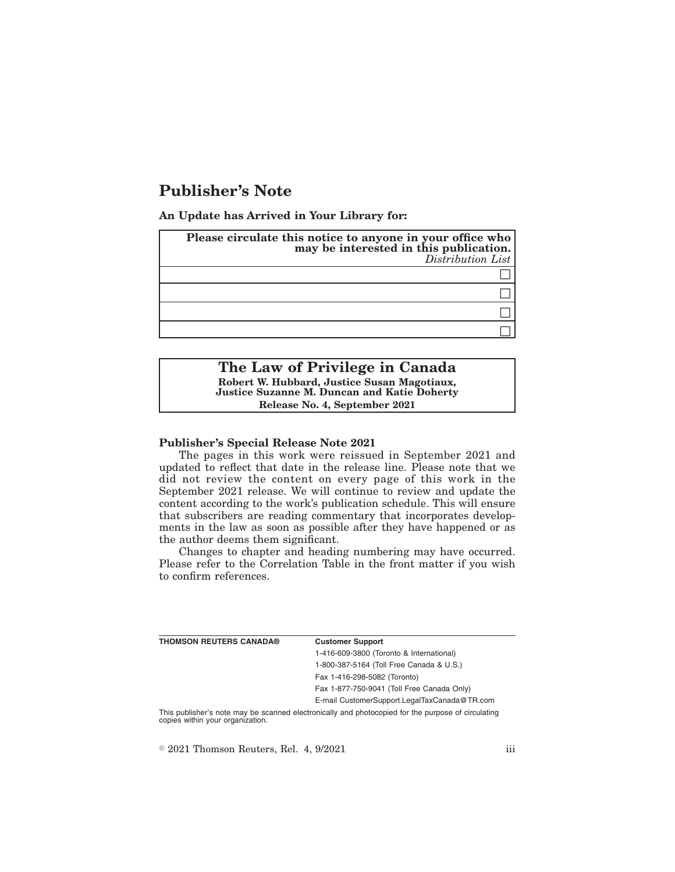# **Publisher's Note**

**An Update has Arrived in Your Library for:**

| Please circulate this notice to anyone in your office who<br>may be interested in this publication.<br>Distribution List |
|--------------------------------------------------------------------------------------------------------------------------|
|                                                                                                                          |
|                                                                                                                          |
|                                                                                                                          |
|                                                                                                                          |

# **The Law of Privilege in Canada Robert W. Hubbard, Justice Susan Magotiaux, Justice Suzanne M. Duncan and Katie Doherty Release No. 4, September 2021**

# **Publisher's Special Release Note 2021**

The pages in this work were reissued in September 2021 and updated to reflect that date in the release line. Please note that we did not review the content on every page of this work in the September 2021 release. We will continue to review and update the content according to the work's publication schedule. This will ensure that subscribers are reading commentary that incorporates developments in the law as soon as possible after they have happened or as the author deems them significant.

Changes to chapter and heading numbering may have occurred. Please refer to the Correlation Table in the front matter if you wish to confirm references.

| <b>THOMSON REUTERS CANADA®</b> | <b>Customer Support</b>                      |
|--------------------------------|----------------------------------------------|
|                                | 1-416-609-3800 (Toronto & International)     |
|                                | 1-800-387-5164 (Toll Free Canada & U.S.)     |
|                                | Fax 1-416-298-5082 (Toronto)                 |
|                                | Fax 1-877-750-9041 (Toll Free Canada Only)   |
|                                | E-mail CustomerSupport.LegalTaxCanada@TR.com |
|                                |                                              |

This publisher's note may be scanned electronically and photocopied for the purpose of circulating copies within your organization.

 $\textdegree$  2021 Thomson Reuters, Rel. 4, 9/2021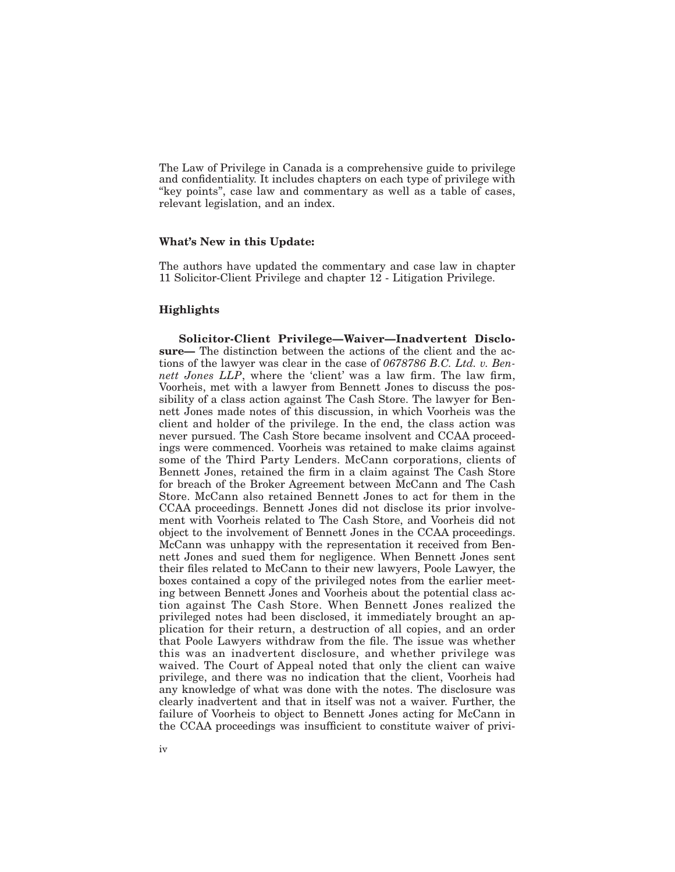The Law of Privilege in Canada is a comprehensive guide to privilege and confidentiality. It includes chapters on each type of privilege with "key points", case law and commentary as well as a table of cases, relevant legislation, and an index.

#### **What's New in this Update:**

The authors have updated the commentary and case law in chapter 11 Solicitor-Client Privilege and chapter 12 - Litigation Privilege.

## **Highlights**

**Solicitor-Client Privilege—Waiver—Inadvertent Disclosure—** The distinction between the actions of the client and the actions of the lawyer was clear in the case of *0678786 B.C. Ltd. v. Bennett Jones LLP*, where the 'client' was a law firm. The law firm, Voorheis, met with a lawyer from Bennett Jones to discuss the possibility of a class action against The Cash Store. The lawyer for Bennett Jones made notes of this discussion, in which Voorheis was the client and holder of the privilege. In the end, the class action was never pursued. The Cash Store became insolvent and CCAA proceedings were commenced. Voorheis was retained to make claims against some of the Third Party Lenders. McCann corporations, clients of Bennett Jones, retained the firm in a claim against The Cash Store for breach of the Broker Agreement between McCann and The Cash Store. McCann also retained Bennett Jones to act for them in the CCAA proceedings. Bennett Jones did not disclose its prior involvement with Voorheis related to The Cash Store, and Voorheis did not object to the involvement of Bennett Jones in the CCAA proceedings. McCann was unhappy with the representation it received from Bennett Jones and sued them for negligence. When Bennett Jones sent their files related to McCann to their new lawyers, Poole Lawyer, the boxes contained a copy of the privileged notes from the earlier meeting between Bennett Jones and Voorheis about the potential class action against The Cash Store. When Bennett Jones realized the privileged notes had been disclosed, it immediately brought an application for their return, a destruction of all copies, and an order that Poole Lawyers withdraw from the file. The issue was whether this was an inadvertent disclosure, and whether privilege was waived. The Court of Appeal noted that only the client can waive privilege, and there was no indication that the client, Voorheis had any knowledge of what was done with the notes. The disclosure was clearly inadvertent and that in itself was not a waiver. Further, the failure of Voorheis to object to Bennett Jones acting for McCann in the CCAA proceedings was insufficient to constitute waiver of privi-